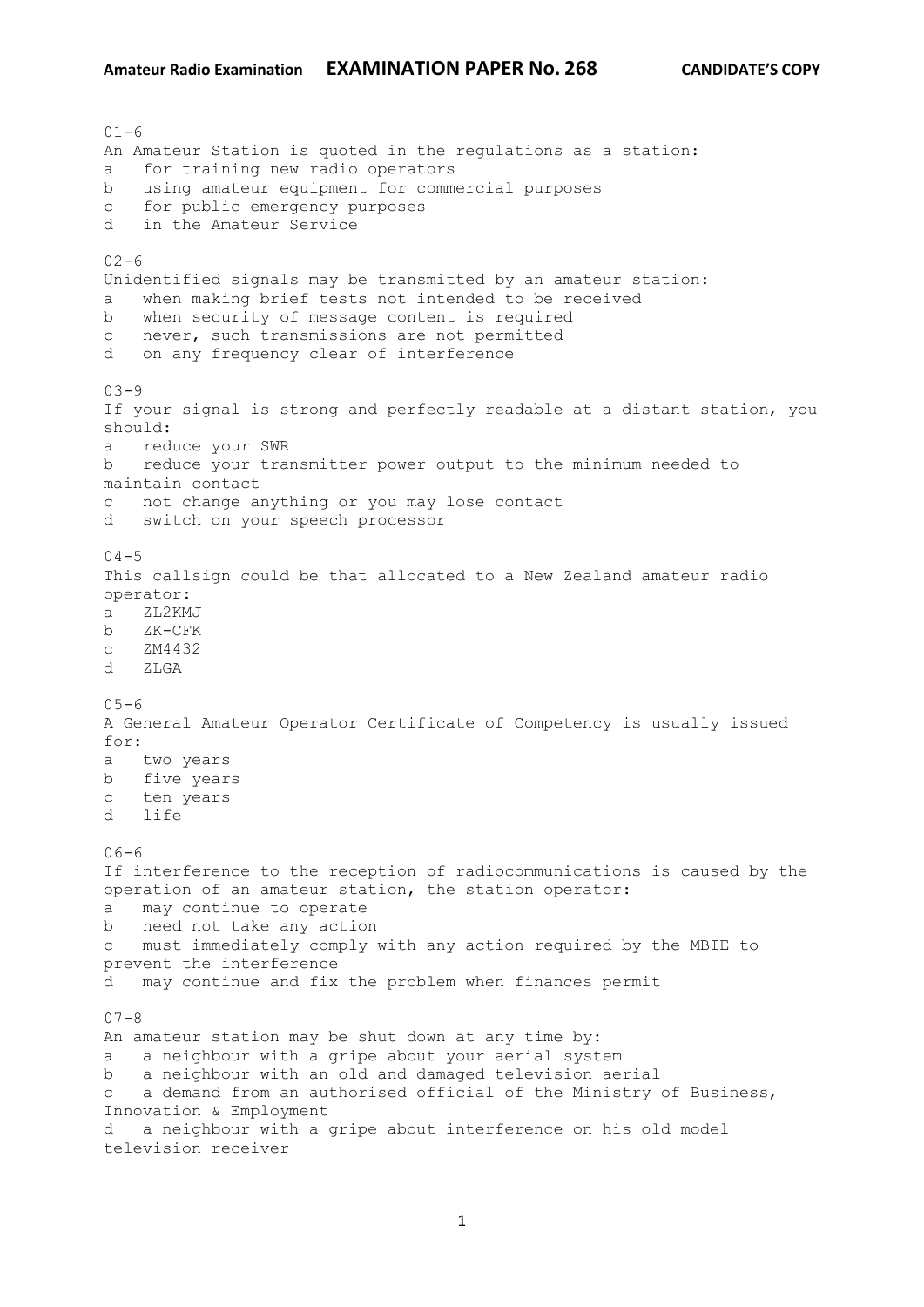$01 - 6$ An Amateur Station is quoted in the regulations as a station: a for training new radio operators b using amateur equipment for commercial purposes c for public emergency purposes d in the Amateur Service  $02 - 6$ Unidentified signals may be transmitted by an amateur station: a when making brief tests not intended to be received b when security of message content is required c never, such transmissions are not permitted d on any frequency clear of interference  $03 - 9$ If your signal is strong and perfectly readable at a distant station, you should: a reduce your SWR b reduce your transmitter power output to the minimum needed to maintain contact c not change anything or you may lose contact d switch on your speech processor  $04-5$ This callsign could be that allocated to a New Zealand amateur radio operator: a ZL2KMJ b ZK-CFK c ZM4432 d ZLGA  $05 - 6$ A General Amateur Operator Certificate of Competency is usually issued for: a two years b five years c ten years d life  $06 - 6$ If interference to the reception of radiocommunications is caused by the operation of an amateur station, the station operator: a may continue to operate b need not take any action c must immediately comply with any action required by the MBIE to prevent the interference d may continue and fix the problem when finances permit  $07 - 8$ An amateur station may be shut down at any time by: a a neighbour with a gripe about your aerial system b a neighbour with an old and damaged television aerial c a demand from an authorised official of the Ministry of Business, Innovation & Employment d a neighbour with a gripe about interference on his old model television receiver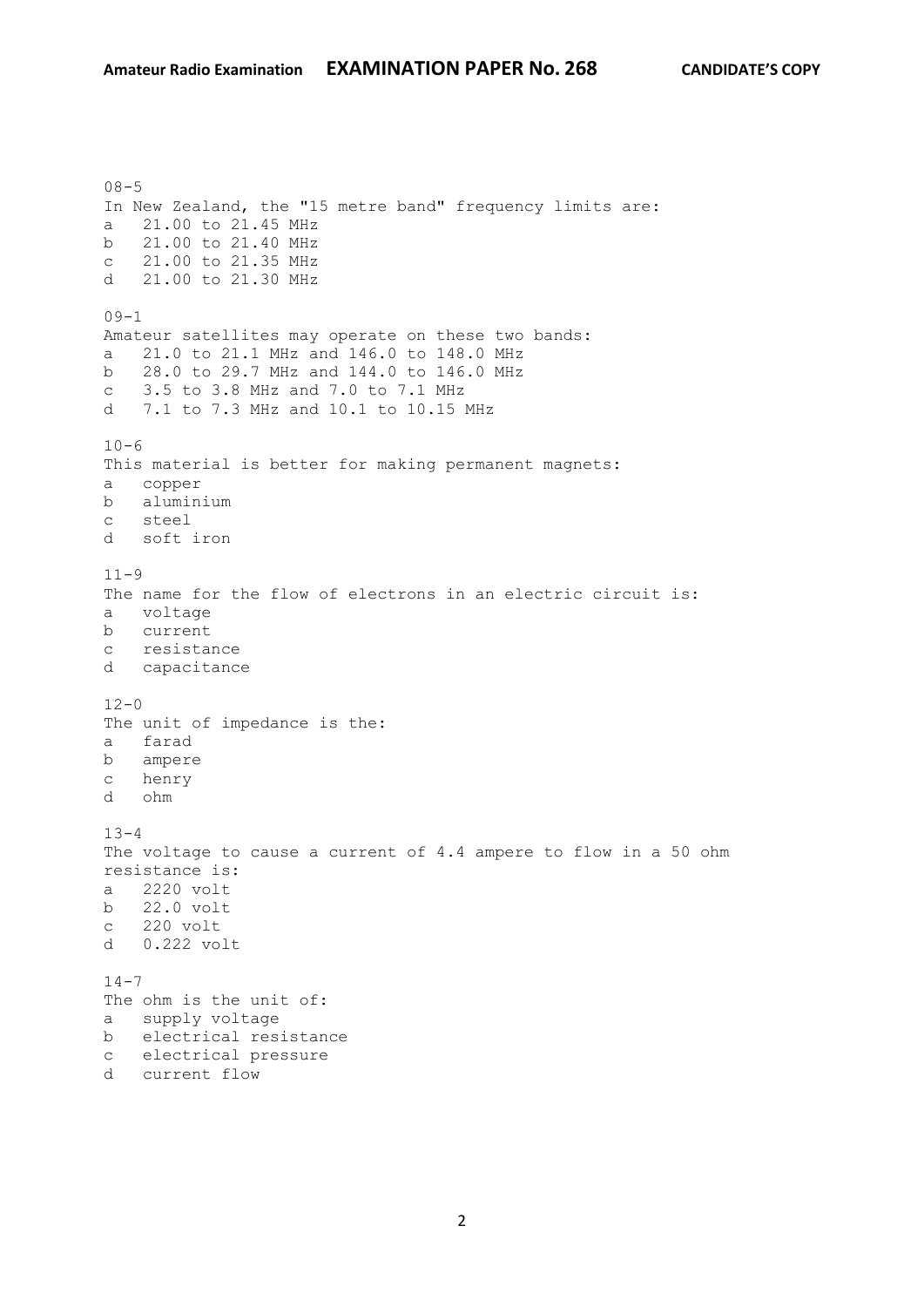$08 - 5$ In New Zealand, the "15 metre band" frequency limits are: a 21.00 to 21.45 MHz b 21.00 to 21.40 MHz c 21.00 to 21.35 MHz d 21.00 to 21.30 MHz  $09 - 1$ Amateur satellites may operate on these two bands: a 21.0 to 21.1 MHz and 146.0 to 148.0 MHz b 28.0 to 29.7 MHz and 144.0 to 146.0 MHz c 3.5 to 3.8 MHz and 7.0 to 7.1 MHz d 7.1 to 7.3 MHz and 10.1 to 10.15 MHz  $10-6$ This material is better for making permanent magnets: a copper b aluminium c steel d soft iron  $11 - 9$ The name for the flow of electrons in an electric circuit is: a voltage b current c resistance d capacitance  $12 - 0$ The unit of impedance is the: a farad b ampere c henry d ohm 13-4 The voltage to cause a current of 4.4 ampere to flow in a 50 ohm resistance is: a 2220 volt b 22.0 volt c 220 volt d 0.222 volt  $14 - 7$ The ohm is the unit of: a supply voltage b electrical resistance c electrical pressure d current flow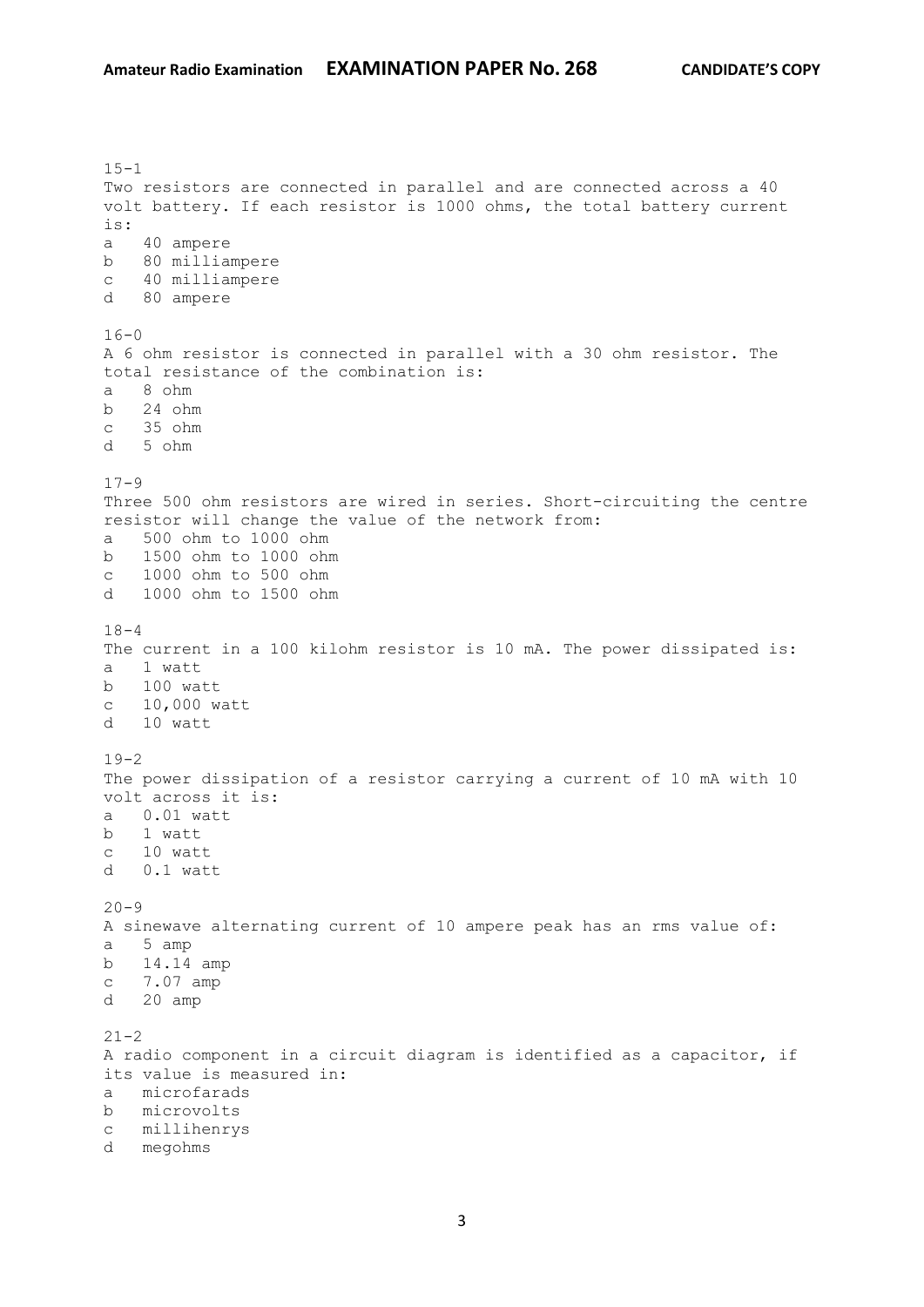15-1 Two resistors are connected in parallel and are connected across a 40 volt battery. If each resistor is 1000 ohms, the total battery current is: a 40 ampere b 80 milliampere c 40 milliampere d 80 ampere  $16 - 0$ A 6 ohm resistor is connected in parallel with a 30 ohm resistor. The total resistance of the combination is: a 8 ohm b 24 ohm c 35 ohm d 5 ohm  $17-9$ Three 500 ohm resistors are wired in series. Short-circuiting the centre resistor will change the value of the network from: a 500 ohm to 1000 ohm b 1500 ohm to 1000 ohm c 1000 ohm to 500 ohm d 1000 ohm to 1500 ohm  $18 - 4$ The current in a 100 kilohm resistor is 10 mA. The power dissipated is: a 1 watt b 100 watt c 10,000 watt d 10 watt  $19-2$ The power dissipation of a resistor carrying a current of 10 mA with 10 volt across it is: a 0.01 watt b 1 watt c 10 watt d 0.1 watt  $20 - 9$ A sinewave alternating current of 10 ampere peak has an rms value of: a 5 amp b 14.14 amp c 7.07 amp d 20 amp  $21 - 2$ A radio component in a circuit diagram is identified as a capacitor, if its value is measured in: a microfarads b microvolts c millihenrys d megohms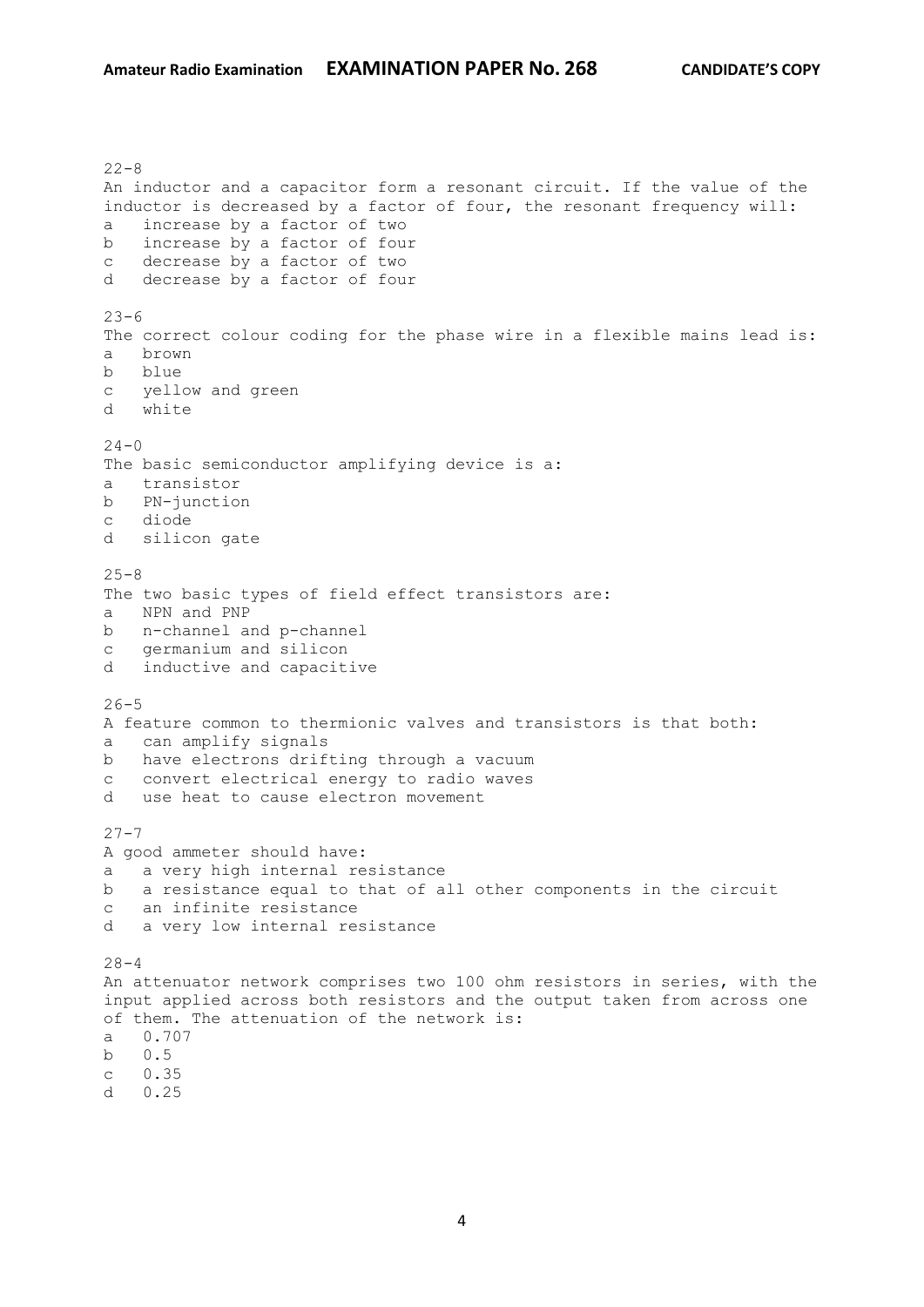$22 - 8$ An inductor and a capacitor form a resonant circuit. If the value of the inductor is decreased by a factor of four, the resonant frequency will: a increase by a factor of two b increase by a factor of four c decrease by a factor of two d decrease by a factor of four  $23 - 6$ The correct colour coding for the phase wire in a flexible mains lead is: a brown b blue c yellow and green d white  $24 - 0$ The basic semiconductor amplifying device is a: a transistor b PN-junction c diode d silicon gate  $25 - 8$ The two basic types of field effect transistors are: a NPN and PNP b n-channel and p-channel c germanium and silicon d inductive and capacitive  $26 - 5$ A feature common to thermionic valves and transistors is that both: a can amplify signals b have electrons drifting through a vacuum c convert electrical energy to radio waves d use heat to cause electron movement  $27 - 7$ A good ammeter should have: a a very high internal resistance b a resistance equal to that of all other components in the circuit c an infinite resistance d a very low internal resistance  $28 - 4$ An attenuator network comprises two 100 ohm resistors in series, with the input applied across both resistors and the output taken from across one of them. The attenuation of the network is: a 0.707 b 0.5 c 0.35 d 0.25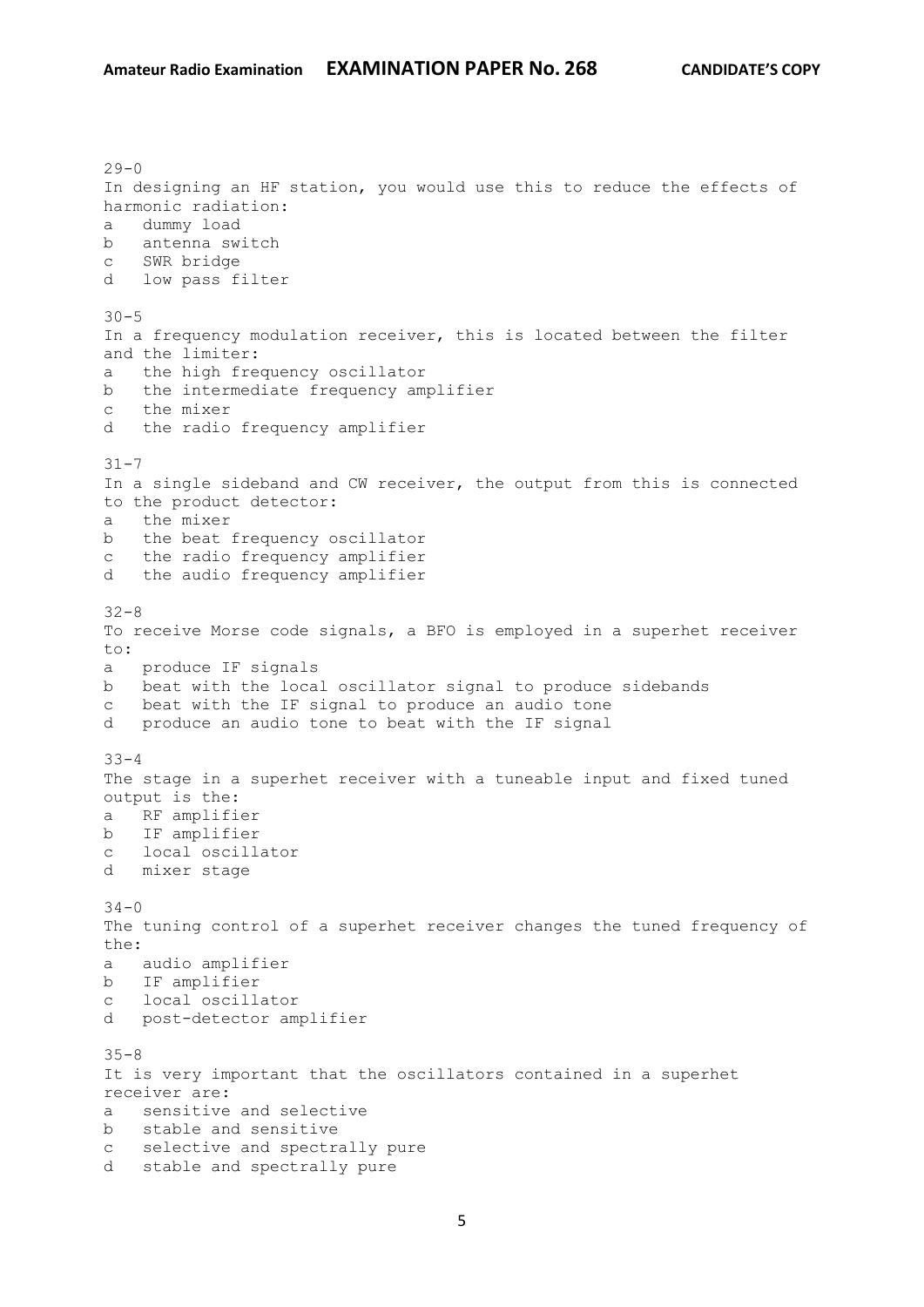$29 - 0$ In designing an HF station, you would use this to reduce the effects of harmonic radiation: a dummy load b antenna switch c SWR bridge d low pass filter  $30 - 5$ In a frequency modulation receiver, this is located between the filter and the limiter: a the high frequency oscillator b the intermediate frequency amplifier c the mixer d the radio frequency amplifier  $31 - 7$ In a single sideband and CW receiver, the output from this is connected to the product detector: a the mixer b the beat frequency oscillator c the radio frequency amplifier d the audio frequency amplifier  $32 - 8$ To receive Morse code signals, a BFO is employed in a superhet receiver  $+\circ$ : a produce IF signals b beat with the local oscillator signal to produce sidebands c beat with the IF signal to produce an audio tone d produce an audio tone to beat with the IF signal 33-4 The stage in a superhet receiver with a tuneable input and fixed tuned output is the: a RF amplifier b IF amplifier c local oscillator d mixer stage  $34 - 0$ The tuning control of a superhet receiver changes the tuned frequency of the: a audio amplifier b IF amplifier c local oscillator d post-detector amplifier 35-8 It is very important that the oscillators contained in a superhet receiver are: a sensitive and selective b stable and sensitive c selective and spectrally pure d stable and spectrally pure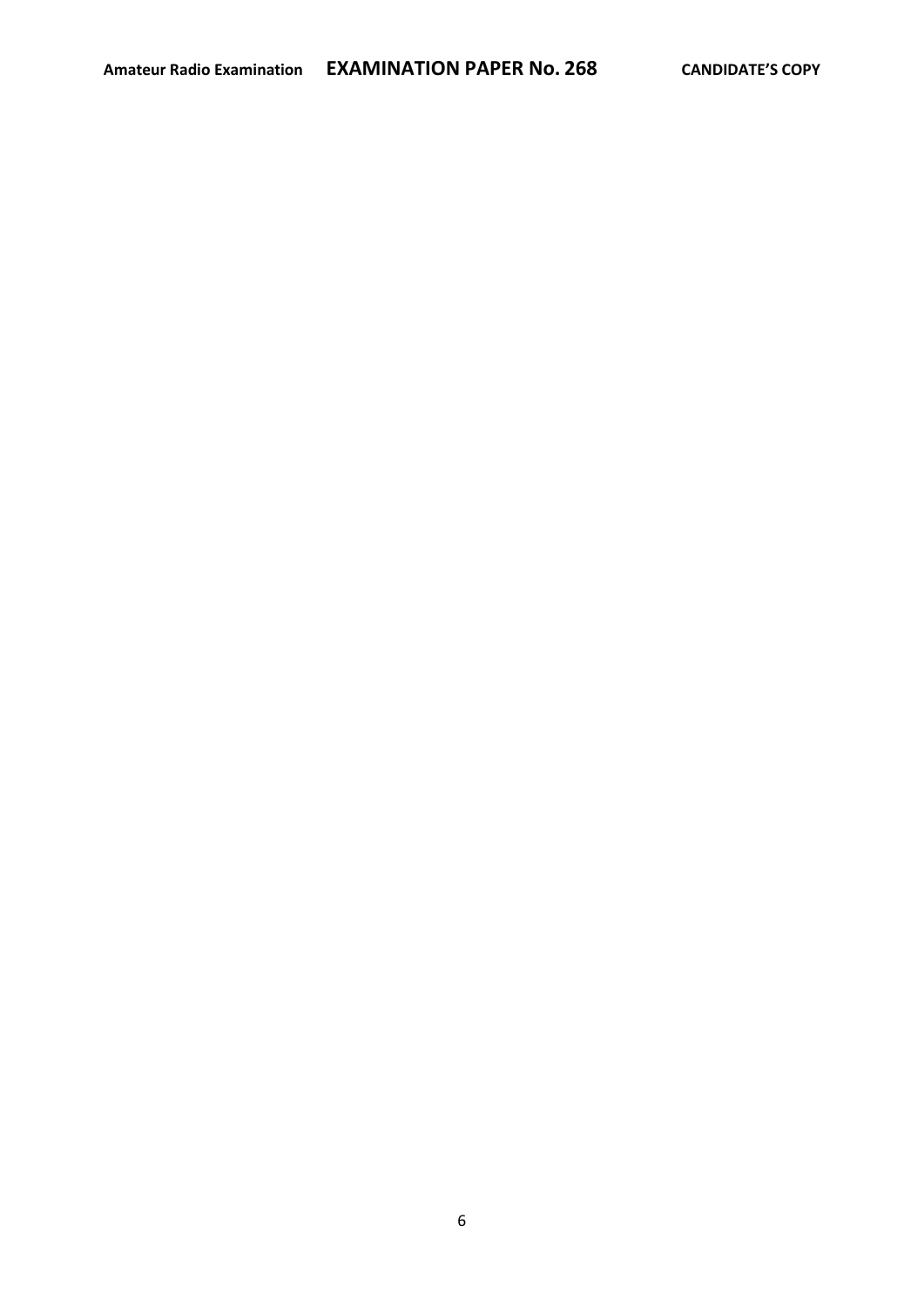6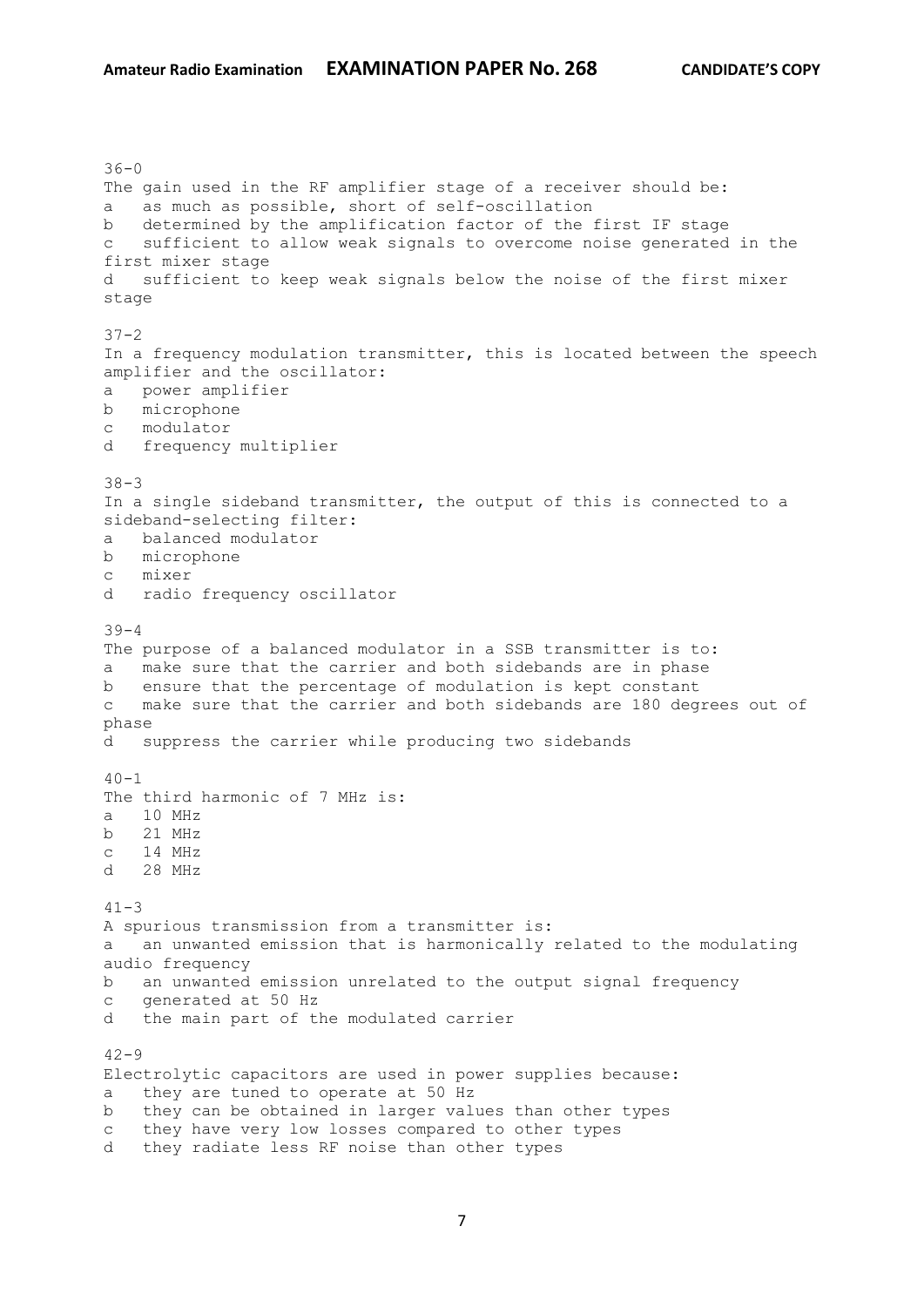$36 - 0$ The gain used in the RF amplifier stage of a receiver should be: a as much as possible, short of self-oscillation b determined by the amplification factor of the first IF stage c sufficient to allow weak signals to overcome noise generated in the first mixer stage d sufficient to keep weak signals below the noise of the first mixer stage  $37 - 2$ In a frequency modulation transmitter, this is located between the speech amplifier and the oscillator: a power amplifier b microphone c modulator d frequency multiplier 38-3 In a single sideband transmitter, the output of this is connected to a sideband-selecting filter: a balanced modulator b microphone c mixer d radio frequency oscillator 39-4 The purpose of a balanced modulator in a SSB transmitter is to: a make sure that the carrier and both sidebands are in phase b ensure that the percentage of modulation is kept constant c make sure that the carrier and both sidebands are 180 degrees out of phase d suppress the carrier while producing two sidebands  $40 - 1$ The third harmonic of 7 MHz is: a 10 MHz b 21 MHz c 14 MHz d 28 MHz  $41 - 3$ A spurious transmission from a transmitter is: a an unwanted emission that is harmonically related to the modulating audio frequency b an unwanted emission unrelated to the output signal frequency c generated at 50 Hz d the main part of the modulated carrier  $42 - 9$ Electrolytic capacitors are used in power supplies because: a they are tuned to operate at 50 Hz b they can be obtained in larger values than other types c they have very low losses compared to other types d they radiate less RF noise than other types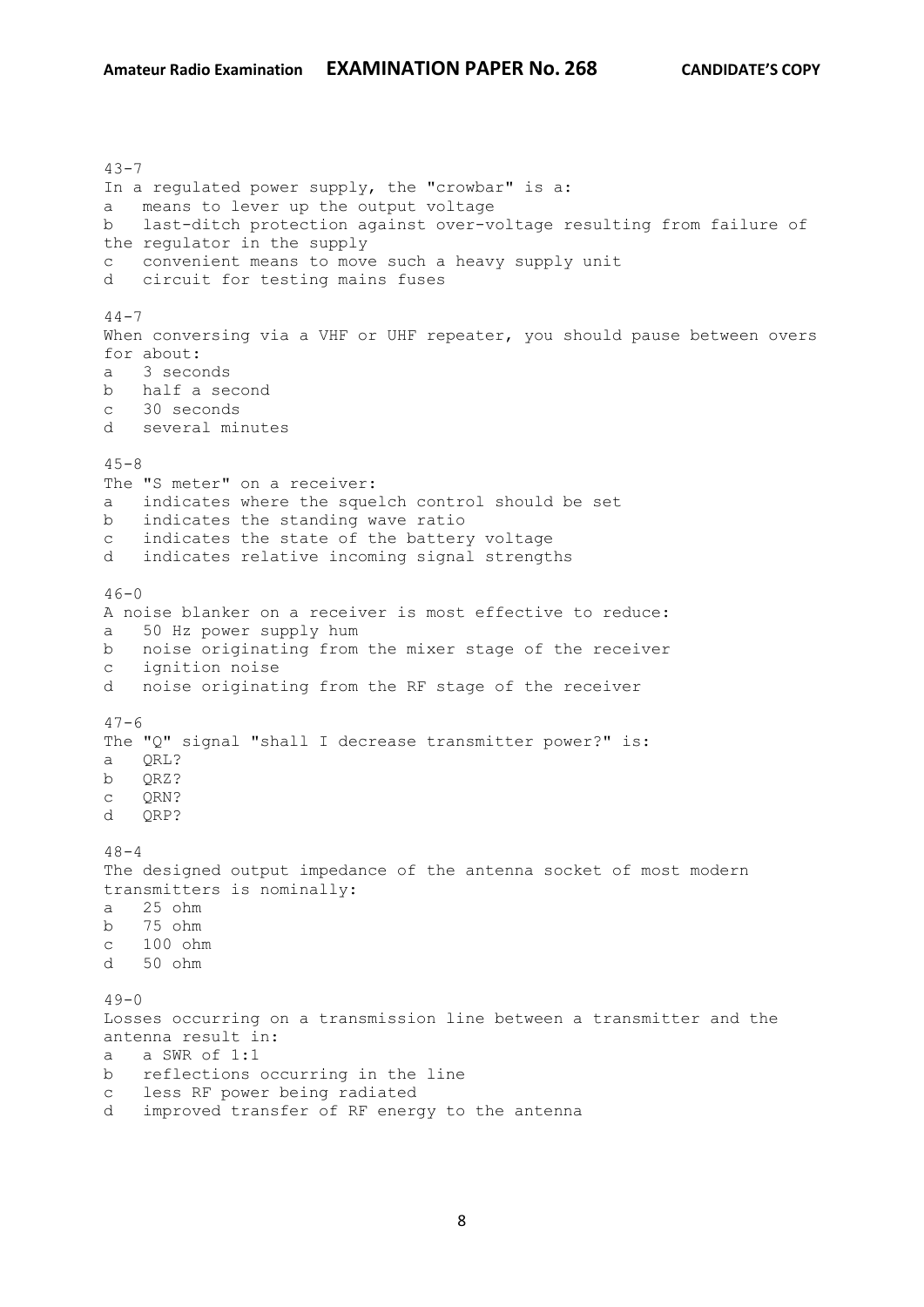$43 - 7$ In a regulated power supply, the "crowbar" is a: a means to lever up the output voltage b last-ditch protection against over-voltage resulting from failure of the regulator in the supply c convenient means to move such a heavy supply unit d circuit for testing mains fuses  $44 - 7$ When conversing via a VHF or UHF repeater, you should pause between overs for about: a 3 seconds b half a second c 30 seconds d several minutes  $45 - 8$ The "S meter" on a receiver: a indicates where the squelch control should be set b indicates the standing wave ratio c indicates the state of the battery voltage d indicates relative incoming signal strengths  $46 - 0$ A noise blanker on a receiver is most effective to reduce: a 50 Hz power supply hum b noise originating from the mixer stage of the receiver c ignition noise d noise originating from the RF stage of the receiver  $47 - 6$ The "O" signal "shall I decrease transmitter power?" is: a QRL? b QRZ? c QRN? d QRP?  $48 - 4$ The designed output impedance of the antenna socket of most modern transmitters is nominally: a 25 ohm b 75 ohm c 100 ohm d 50 ohm  $49-0$ Losses occurring on a transmission line between a transmitter and the antenna result in: a a SWR of 1:1 b reflections occurring in the line c less RF power being radiated d improved transfer of RF energy to the antenna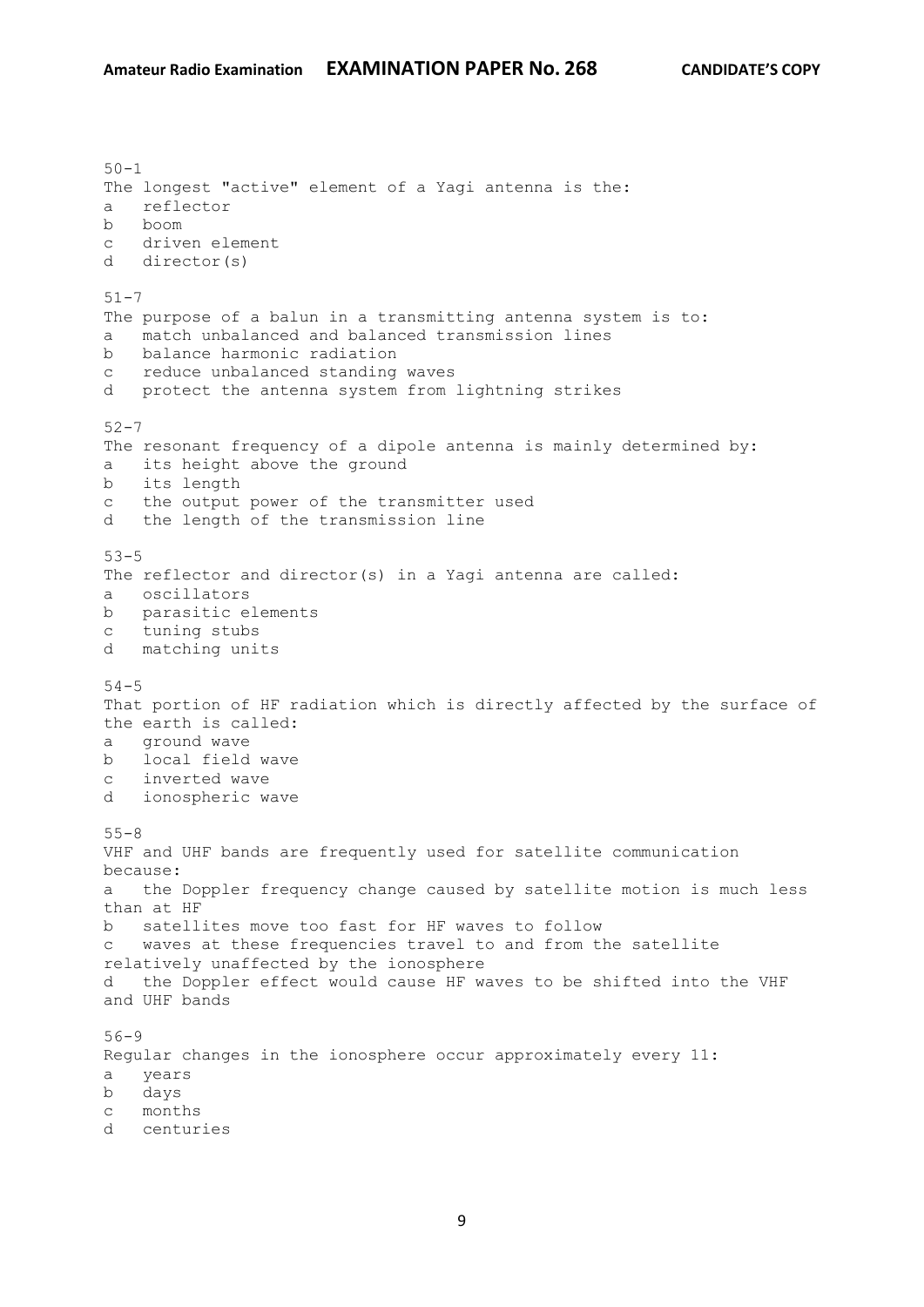$50 - 1$ The longest "active" element of a Yagi antenna is the: a reflector b boom c driven element d director(s)  $51 - 7$ The purpose of a balun in a transmitting antenna system is to: a match unbalanced and balanced transmission lines b balance harmonic radiation c reduce unbalanced standing waves d protect the antenna system from lightning strikes  $52 - 7$ The resonant frequency of a dipole antenna is mainly determined by: a its height above the ground b its length c the output power of the transmitter used d the length of the transmission line 53-5 The reflector and director(s) in a Yagi antenna are called: a oscillators b parasitic elements c tuning stubs d matching units  $54 - 5$ That portion of HF radiation which is directly affected by the surface of the earth is called: a ground wave b local field wave c inverted wave d ionospheric wave 55-8 VHF and UHF bands are frequently used for satellite communication because: a the Doppler frequency change caused by satellite motion is much less than at HF b satellites move too fast for HF waves to follow c waves at these frequencies travel to and from the satellite relatively unaffected by the ionosphere d the Doppler effect would cause HF waves to be shifted into the VHF and UHF bands 56-9 Regular changes in the ionosphere occur approximately every 11: a years b days c months d centuries